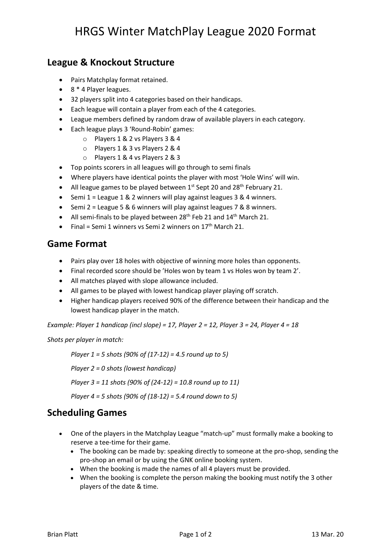## **League & Knockout Structure**

- Pairs Matchplay format retained.
- 8 \* 4 Player leagues.
- 32 players split into 4 categories based on their handicaps.
- Each league will contain a player from each of the 4 categories.
- League members defined by random draw of available players in each category.
- Each league plays 3 'Round-Robin' games:
	- o Players 1 & 2 vs Players 3 & 4
	- o Players 1 & 3 vs Players 2 & 4
	- o Players 1 & 4 vs Players 2 & 3
- Top points scorers in all leagues will go through to semi finals
- Where players have identical points the player with most 'Hole Wins' will win.
- All league games to be played between  $1^{st}$  Sept 20 and 28<sup>th</sup> February 21.
- Semi 1 = League 1 & 2 winners will play against leagues 3 & 4 winners.
- Semi 2 = League 5 & 6 winners will play against leagues 7 & 8 winners.
- All semi-finals to be played between  $28<sup>th</sup>$  Feb 21 and  $14<sup>th</sup>$  March 21.
- Final = Semi 1 winners vs Semi 2 winners on  $17<sup>th</sup>$  March 21.

#### **Game Format**

- Pairs play over 18 holes with objective of winning more holes than opponents.
- Final recorded score should be 'Holes won by team 1 vs Holes won by team 2'.
- All matches played with slope allowance included.
- All games to be played with lowest handicap player playing off scratch.
- Higher handicap players received 90% of the difference between their handicap and the lowest handicap player in the match.

*Example: Player 1 handicap (incl slope) = 17, Player 2 = 12, Player 3 = 24, Player 4 = 18*

*Shots per player in match:*

*Player 1 = 5 shots (90% of (17-12) = 4.5 round up to 5)*

*Player 2 = 0 shots (lowest handicap)*

*Player 3 = 11 shots (90% of (24-12) = 10.8 round up to 11)*

*Player 4 = 5 shots (90% of (18-12) = 5.4 round down to 5)*

#### **Scheduling Games**

- One of the players in the Matchplay League "match-up" must formally make a booking to reserve a tee-time for their game.
	- The booking can be made by: speaking directly to someone at the pro-shop, sending the pro-shop an email or by using the GNK online booking system.
	- When the booking is made the names of all 4 players must be provided.
	- When the booking is complete the person making the booking must notify the 3 other players of the date & time.